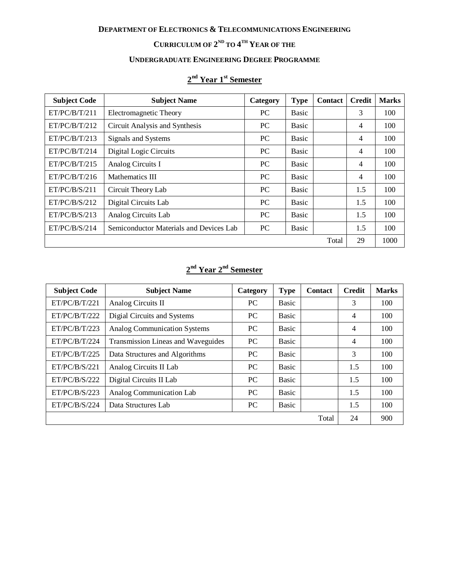### **CURRICULUM OF 2 ND TO 4 TH YEAR OF THE**

# **UNDERGRADUATE ENGINEERING DEGREE PROGRAMME**

### **2 nd Year 1st Semester**

| <b>Subject Code</b> | <b>Subject Name</b>                     | Category  | <b>Type</b>  | <b>Contact</b> | <b>Credit</b>  | <b>Marks</b> |
|---------------------|-----------------------------------------|-----------|--------------|----------------|----------------|--------------|
| ET/PC/B/T/211       | Electromagnetic Theory                  | PC        | Basic        |                | 3              | 100          |
| ET/PC/B/T/212       | Circuit Analysis and Synthesis          | PC        | <b>Basic</b> |                | $\overline{4}$ | 100          |
| ET/PC/B/T/213       | Signals and Systems                     | <b>PC</b> | <b>Basic</b> |                | 4              | 100          |
| ET/PC/B/T/214       | Digital Logic Circuits                  | <b>PC</b> | Basic        |                | $\overline{4}$ | 100          |
| ET/PC/B/T/215       | Analog Circuits I                       | <b>PC</b> | <b>Basic</b> |                | 4              | 100          |
| ET/PC/B/T/216       | Mathematics III                         | <b>PC</b> | Basic        |                | $\overline{4}$ | 100          |
| ET/PC/B/S/211       | Circuit Theory Lab                      | <b>PC</b> | <b>Basic</b> |                | 1.5            | 100          |
| ET/PC/B/S/212       | Digital Circuits Lab                    | <b>PC</b> | Basic        |                | 1.5            | 100          |
| ET/PC/B/S/213       | Analog Circuits Lab                     | <b>PC</b> | Basic        |                | 1.5            | 100          |
| ET/PC/B/S/214       | Semiconductor Materials and Devices Lab | PC        | <b>Basic</b> |                | 1.5            | 100          |
|                     |                                         |           |              | Total          | 29             | 1000         |

### **2 nd Year 2 nd Semester**

| <b>Subject Code</b> | <b>Subject Name</b>                 | Category  | <b>Type</b>  | <b>Contact</b> | <b>Credit</b> | <b>Marks</b> |
|---------------------|-------------------------------------|-----------|--------------|----------------|---------------|--------------|
| ET/PC/B/T/221       | Analog Circuits II                  | PC        | <b>Basic</b> |                | 3             | 100          |
| ET/PC/B/T/222       | Digial Circuits and Systems         | PC        | <b>Basic</b> |                | 4             | 100          |
| ET/PC/B/T/223       | <b>Analog Communication Systems</b> | <b>PC</b> | <b>Basic</b> |                | 4             | 100          |
| ET/PC/B/T/224       | Transmission Lineas and Waveguides  | <b>PC</b> | <b>Basic</b> |                | 4             | 100          |
| ET/PC/B/T/225       | Data Structures and Algorithms      | <b>PC</b> | <b>Basic</b> |                | 3             | 100          |
| ET/PC/B/S/221       | Analog Circuits II Lab              | <b>PC</b> | <b>Basic</b> |                | 1.5           | 100          |
| ET/PC/B/S/222       | Digital Circuits II Lab             | PC        | <b>Basic</b> |                | 1.5           | 100          |
| ET/PC/B/S/223       | Analog Communication Lab            | <b>PC</b> | <b>Basic</b> |                | 1.5           | 100          |
| ET/PC/B/S/224       | Data Structures Lab                 | PC        | <b>Basic</b> |                | 1.5           | 100          |
|                     |                                     |           |              | Total          | 24            | 900          |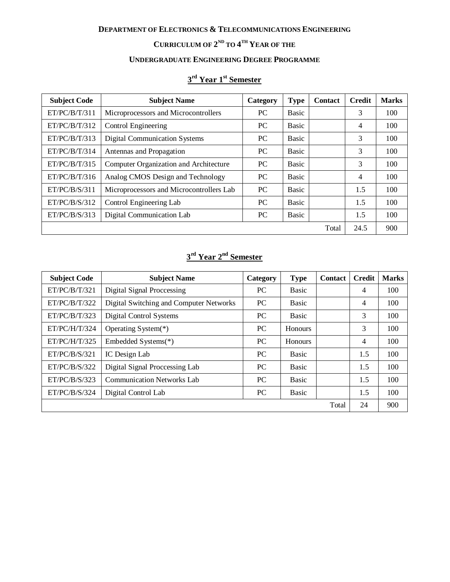### **CURRICULUM OF 2 ND TO 4 TH YEAR OF THE**

# **UNDERGRADUATE ENGINEERING DEGREE PROGRAMME**

### **3 rd Year 1st Semester**

| <b>Subject Code</b> | <b>Subject Name</b>                      | Category  | <b>Type</b>  | <b>Contact</b> | <b>Credit</b>  | <b>Marks</b> |
|---------------------|------------------------------------------|-----------|--------------|----------------|----------------|--------------|
| ET/PC/B/T/311       | Microprocessors and Microcontrollers     | <b>PC</b> | <b>Basic</b> |                | 3              | 100          |
| ET/PC/B/T/312       | Control Engineering                      | PC.       | Basic        |                | 4              | 100          |
| ET/PC/B/T/313       | Digital Communication Systems            | PC.       | <b>Basic</b> |                | 3              | 100          |
| ET/PC/B/T/314       | Antennas and Propagation                 | PC        | <b>Basic</b> |                | 3              | 100          |
| ET/PC/B/T/315       | Computer Organization and Architecture   | PC        | <b>Basic</b> |                | 3              | 100          |
| ET/PC/B/T/316       | Analog CMOS Design and Technology        | <b>PC</b> | <b>Basic</b> |                | $\overline{4}$ | 100          |
| ET/PC/B/S/311       | Microprocessors and Microcontrollers Lab | <b>PC</b> | <b>Basic</b> |                | 1.5            | 100          |
| ET/PC/B/S/312       | Control Engineering Lab                  | PC.       | <b>Basic</b> |                | 1.5            | 100          |
| ET/PC/B/S/313       | Digital Communication Lab                | PC.       | Basic        |                | 1.5            | 100          |
|                     |                                          |           |              | Total          | 24.5           | 900          |

## **3 rd Year 2 nd Semester**

| <b>Subject Code</b> | <b>Subject Name</b>                     | Category  | <b>Type</b>    | <b>Contact</b> | <b>Credit</b> | <b>Marks</b> |
|---------------------|-----------------------------------------|-----------|----------------|----------------|---------------|--------------|
| ET/PC/B/T/321       | Digital Signal Proccessing              | PC.       | <b>Basic</b>   |                | 4             | 100          |
| ET/PC/B/T/322       | Digital Switching and Computer Networks | PC        | <b>Basic</b>   |                | 4             | 100          |
| ET/PC/B/T/323       | Digital Control Systems                 | <b>PC</b> | <b>Basic</b>   |                | 3             | 100          |
| ET/PC/H/T/324       | Operating System(*)                     | PC        | <b>Honours</b> |                | 3             | 100          |
| ET/PC/H/T/325       | Embedded Systems(*)                     | PC        | <b>Honours</b> |                | 4             | 100          |
| ET/PC/B/S/321       | IC Design Lab                           | PC        | <b>Basic</b>   |                | 1.5           | 100          |
| ET/PC/B/S/322       | Digital Signal Proccessing Lab          | PC        | <b>Basic</b>   |                | 1.5           | 100          |
| ET/PC/B/S/323       | <b>Communication Networks Lab</b>       | PC        | <b>Basic</b>   |                | 1.5           | 100          |
| ET/PC/B/S/324       | Digital Control Lab                     | <b>PC</b> | <b>Basic</b>   |                | 1.5           | 100          |
|                     |                                         |           |                | Total          | 24            | 900          |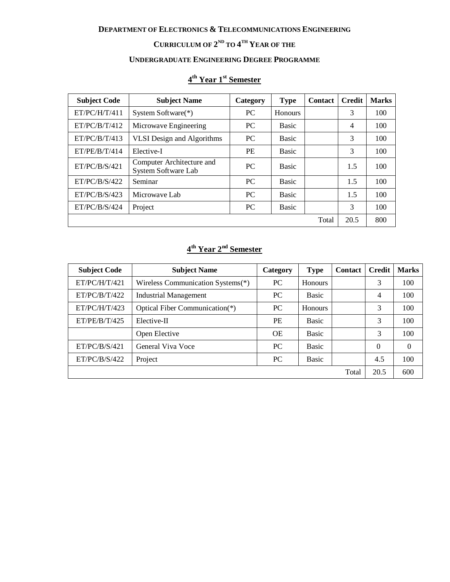#### **CURRICULUM OF 2 ND TO 4 TH YEAR OF THE**

# **UNDERGRADUATE ENGINEERING DEGREE PROGRAMME**

### **4 th Year 1 st Semester**

| <b>Subject Code</b> | <b>Subject Name</b>                              | Category  | <b>Type</b>  | <b>Contact</b> | <b>Credit</b>  | <b>Marks</b> |
|---------------------|--------------------------------------------------|-----------|--------------|----------------|----------------|--------------|
| ET/PC/H/T/411       | System Software(*)                               | <b>PC</b> | Honours      |                | 3              | 100          |
| ET/PC/B/T/412       | Microwave Engineering                            | PC.       | <b>Basic</b> |                | $\overline{4}$ | 100          |
| ET/PC/B/T/413       | <b>VLSI</b> Design and Algorithms                | PC        | <b>Basic</b> |                | 3              | 100          |
| ET/PE/B/T/414       | Elective-I                                       | <b>PE</b> | <b>Basic</b> |                | 3              | 100          |
| ET/PC/B/S/421       | Computer Architecture and<br>System Software Lab | PC        | <b>Basic</b> |                | 1.5            | 100          |
| ET/PC/B/S/422       | Seminar                                          | <b>PC</b> | <b>Basic</b> |                | 1.5            | 100          |
| ET/PC/B/S/423       | Microwaye Lab                                    | PC        | <b>Basic</b> |                | 1.5            | 100          |
| ET/PC/B/S/424       | Project                                          | PC        | <b>Basic</b> |                | 3              | 100          |
|                     |                                                  |           |              | Total          | 20.5           | 800          |

## **4 th Year 2 nd Semester**

| <b>Subject Code</b> | <b>Subject Name</b>               | Category  | <b>Type</b>  | <b>Contact</b> | <b>Credit</b> | <b>Marks</b> |
|---------------------|-----------------------------------|-----------|--------------|----------------|---------------|--------------|
| ET/PC/H/T/421       | Wireless Communication Systems(*) | PC        | Honours      |                | 3             | 100          |
| ET/PC/B/T/422       | <b>Industrial Management</b>      | PC        | Basic        |                | 4             | 100          |
| ET/PC/H/T/423       | Optical Fiber Communication(*)    | PC        | Honours      |                | 3             | 100          |
| ET/PE/B/T/425       | Elective-II                       | PE        | <b>Basic</b> |                | 3             | 100          |
|                     | Open Elective                     | <b>OE</b> | <b>Basic</b> |                | 3             | 100          |
| ET/PC/B/S/421       | General Viva Voce                 | <b>PC</b> | <b>Basic</b> |                | $\theta$      | $\theta$     |
| ET/PC/B/S/422       | Project                           | PC        | Basic        |                | 4.5           | 100          |
|                     |                                   |           |              | Total          | 20.5          | 600          |